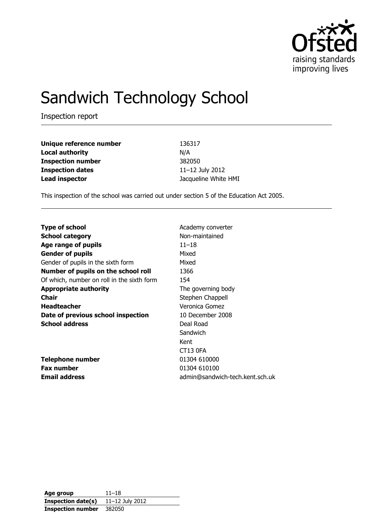

# Sandwich Technology School

Inspection report

| Unique reference number  | 136317               |
|--------------------------|----------------------|
| <b>Local authority</b>   | N/A                  |
| <b>Inspection number</b> | 382050               |
| <b>Inspection dates</b>  | 11-12 July 2012      |
| <b>Lead inspector</b>    | Jacqueline White HMI |

This inspection of the school was carried out under section 5 of the Education Act 2005.

| <b>Type of school</b>                      | Academy converter               |
|--------------------------------------------|---------------------------------|
| <b>School category</b>                     | Non-maintained                  |
| Age range of pupils                        | $11 - 18$                       |
| <b>Gender of pupils</b>                    | Mixed                           |
| Gender of pupils in the sixth form         | Mixed                           |
| Number of pupils on the school roll        | 1366                            |
| Of which, number on roll in the sixth form | 154                             |
| <b>Appropriate authority</b>               | The governing body              |
| Chair                                      | Stephen Chappell                |
| <b>Headteacher</b>                         | Veronica Gomez                  |
| Date of previous school inspection         | 10 December 2008                |
| <b>School address</b>                      | Deal Road                       |
|                                            | Sandwich                        |
|                                            | Kent                            |
|                                            | <b>CT13 0FA</b>                 |
| <b>Telephone number</b>                    | 01304 610000                    |
| <b>Fax number</b>                          | 01304 610100                    |
| <b>Email address</b>                       | admin@sandwich-tech.kent.sch.uk |
|                                            |                                 |

**Age group** 11–18 **Inspection date(s)** 11–12 July 2012 **Inspection number** 382050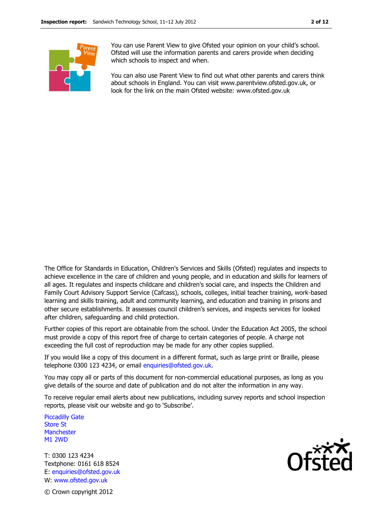

You can use Parent View to give Ofsted your opinion on your child's school. Ofsted will use the information parents and carers provide when deciding which schools to inspect and when.

You can also use Parent View to find out what other parents and carers think about schools in England. You can visit www.parentview.ofsted.gov.uk, or look for the link on the main Ofsted website: www.ofsted.gov.uk

The Office for Standards in Education, Children's Services and Skills (Ofsted) regulates and inspects to achieve excellence in the care of children and young people, and in education and skills for learners of all ages. It regulates and inspects childcare and children's social care, and inspects the Children and Family Court Advisory Support Service (Cafcass), schools, colleges, initial teacher training, work-based learning and skills training, adult and community learning, and education and training in prisons and other secure establishments. It assesses council children's services, and inspects services for looked after children, safeguarding and child protection.

Further copies of this report are obtainable from the school. Under the Education Act 2005, the school must provide a copy of this report free of charge to certain categories of people. A charge not exceeding the full cost of reproduction may be made for any other copies supplied.

If you would like a copy of this document in a different format, such as large print or Braille, please telephone 0300 123 4234, or email enquiries@ofsted.gov.uk.

You may copy all or parts of this document for non-commercial educational purposes, as long as you give details of the source and date of publication and do not alter the information in any way.

To receive regular email alerts about new publications, including survey reports and school inspection reports, please visit our website and go to 'Subscribe'.

Piccadilly Gate Store St **Manchester** M1 2WD

T: 0300 123 4234 Textphone: 0161 618 8524 E: enquiries@ofsted.gov.uk W: www.ofsted.gov.uk



© Crown copyright 2012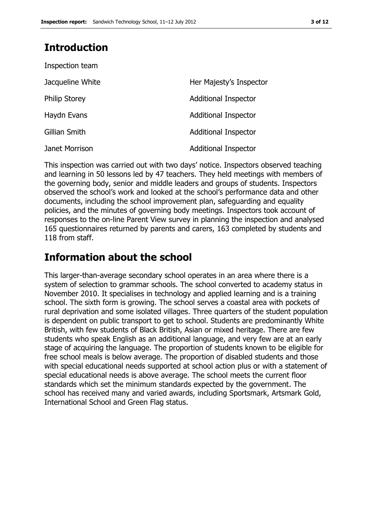# **Introduction**

| Inspection team      |                             |
|----------------------|-----------------------------|
| Jacqueline White     | Her Majesty's Inspector     |
| <b>Philip Storey</b> | <b>Additional Inspector</b> |
| Haydn Evans          | <b>Additional Inspector</b> |
| Gillian Smith        | <b>Additional Inspector</b> |
| Janet Morrison       | <b>Additional Inspector</b> |

This inspection was carried out with two days' notice. Inspectors observed teaching and learning in 50 lessons led by 47 teachers. They held meetings with members of the governing body, senior and middle leaders and groups of students. Inspectors observed the school's work and looked at the school's performance data and other documents, including the school improvement plan, safeguarding and equality policies, and the minutes of governing body meetings. Inspectors took account of responses to the on-line Parent View survey in planning the inspection and analysed 165 questionnaires returned by parents and carers, 163 completed by students and 118 from staff.

# **Information about the school**

This larger-than-average secondary school operates in an area where there is a system of selection to grammar schools. The school converted to academy status in November 2010. It specialises in technology and applied learning and is a training school. The sixth form is growing. The school serves a coastal area with pockets of rural deprivation and some isolated villages. Three quarters of the student population is dependent on public transport to get to school. Students are predominantly White British, with few students of Black British, Asian or mixed heritage. There are few students who speak English as an additional language, and very few are at an early stage of acquiring the language. The proportion of students known to be eligible for free school meals is below average. The proportion of disabled students and those with special educational needs supported at school action plus or with a statement of special educational needs is above average. The school meets the current floor standards which set the minimum standards expected by the government. The school has received many and varied awards, including Sportsmark, Artsmark Gold, International School and Green Flag status.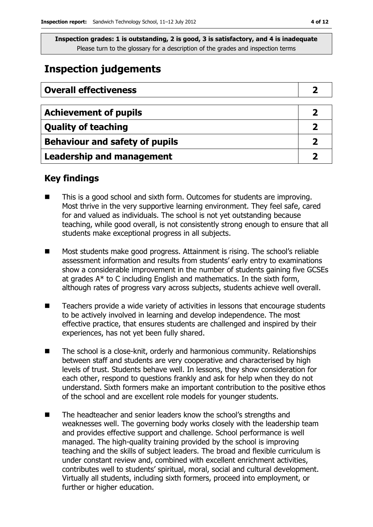# **Inspection judgements**

| <b>Overall effectiveness</b>          |  |
|---------------------------------------|--|
|                                       |  |
| <b>Achievement of pupils</b>          |  |
| <b>Quality of teaching</b>            |  |
| <b>Behaviour and safety of pupils</b> |  |
| <b>Leadership and management</b>      |  |

## **Key findings**

- This is a good school and sixth form. Outcomes for students are improving. Most thrive in the very supportive learning environment. They feel safe, cared for and valued as individuals. The school is not yet outstanding because teaching, while good overall, is not consistently strong enough to ensure that all students make exceptional progress in all subjects.
- Most students make good progress. Attainment is rising. The school's reliable assessment information and results from students' early entry to examinations show a considerable improvement in the number of students gaining five GCSEs at grades A\* to C including English and mathematics. In the sixth form, although rates of progress vary across subjects, students achieve well overall.
- Teachers provide a wide variety of activities in lessons that encourage students to be actively involved in learning and develop independence. The most effective practice, that ensures students are challenged and inspired by their experiences, has not yet been fully shared.
- The school is a close-knit, orderly and harmonious community. Relationships between staff and students are very cooperative and characterised by high levels of trust. Students behave well. In lessons, they show consideration for each other, respond to questions frankly and ask for help when they do not understand. Sixth formers make an important contribution to the positive ethos of the school and are excellent role models for younger students.
- The headteacher and senior leaders know the school's strengths and weaknesses well. The governing body works closely with the leadership team and provides effective support and challenge. School performance is well managed. The high-quality training provided by the school is improving teaching and the skills of subject leaders. The broad and flexible curriculum is under constant review and, combined with excellent enrichment activities, contributes well to students' spiritual, moral, social and cultural development. Virtually all students, including sixth formers, proceed into employment, or further or higher education.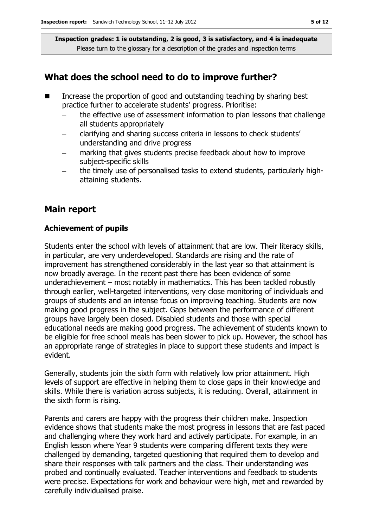### **What does the school need to do to improve further?**

- Increase the proportion of good and outstanding teaching by sharing best practice further to accelerate students' progress. Prioritise:
	- the effective use of assessment information to plan lessons that challenge all students appropriately
	- clarifying and sharing success criteria in lessons to check students' understanding and drive progress
	- marking that gives students precise feedback about how to improve subject-specific skills
	- the timely use of personalised tasks to extend students, particularly highattaining students.

### **Main report**

#### **Achievement of pupils**

Students enter the school with levels of attainment that are low. Their literacy skills, in particular, are very underdeveloped. Standards are rising and the rate of improvement has strengthened considerably in the last year so that attainment is now broadly average. In the recent past there has been evidence of some underachievement – most notably in mathematics. This has been tackled robustly through earlier, well-targeted interventions, very close monitoring of individuals and groups of students and an intense focus on improving teaching. Students are now making good progress in the subject. Gaps between the performance of different groups have largely been closed. Disabled students and those with special educational needs are making good progress. The achievement of students known to be eligible for free school meals has been slower to pick up. However, the school has an appropriate range of strategies in place to support these students and impact is evident.

Generally, students join the sixth form with relatively low prior attainment. High levels of support are effective in helping them to close gaps in their knowledge and skills. While there is variation across subjects, it is reducing. Overall, attainment in the sixth form is rising.

Parents and carers are happy with the progress their children make. Inspection evidence shows that students make the most progress in lessons that are fast paced and challenging where they work hard and actively participate. For example, in an English lesson where Year 9 students were comparing different texts they were challenged by demanding, targeted questioning that required them to develop and share their responses with talk partners and the class. Their understanding was probed and continually evaluated. Teacher interventions and feedback to students were precise. Expectations for work and behaviour were high, met and rewarded by carefully individualised praise.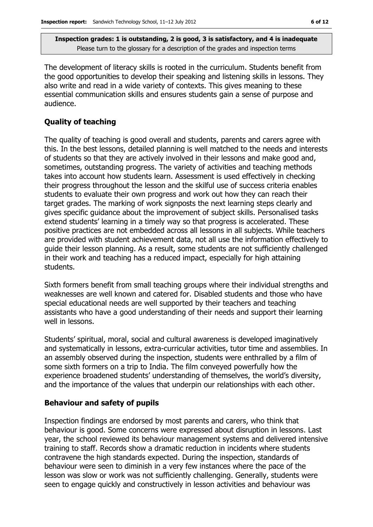The development of literacy skills is rooted in the curriculum. Students benefit from the good opportunities to develop their speaking and listening skills in lessons. They also write and read in a wide variety of contexts. This gives meaning to these essential communication skills and ensures students gain a sense of purpose and audience.

#### **Quality of teaching**

The quality of teaching is good overall and students, parents and carers agree with this. In the best lessons, detailed planning is well matched to the needs and interests of students so that they are actively involved in their lessons and make good and, sometimes, outstanding progress. The variety of activities and teaching methods takes into account how students learn. Assessment is used effectively in checking their progress throughout the lesson and the skilful use of success criteria enables students to evaluate their own progress and work out how they can reach their target grades. The marking of work signposts the next learning steps clearly and gives specific guidance about the improvement of subject skills. Personalised tasks extend students' learning in a timely way so that progress is accelerated. These positive practices are not embedded across all lessons in all subjects. While teachers are provided with student achievement data, not all use the information effectively to guide their lesson planning. As a result, some students are not sufficiently challenged in their work and teaching has a reduced impact, especially for high attaining students.

Sixth formers benefit from small teaching groups where their individual strengths and weaknesses are well known and catered for. Disabled students and those who have special educational needs are well supported by their teachers and teaching assistants who have a good understanding of their needs and support their learning well in lessons.

Students' spiritual, moral, social and cultural awareness is developed imaginatively and systematically in lessons, extra-curricular activities, tutor time and assemblies. In an assembly observed during the inspection, students were enthralled by a film of some sixth formers on a trip to India. The film conveyed powerfully how the experience broadened students' understanding of themselves, the world's diversity, and the importance of the values that underpin our relationships with each other.

#### **Behaviour and safety of pupils**

Inspection findings are endorsed by most parents and carers, who think that behaviour is good. Some concerns were expressed about disruption in lessons. Last year, the school reviewed its behaviour management systems and delivered intensive training to staff. Records show a dramatic reduction in incidents where students contravene the high standards expected. During the inspection, standards of behaviour were seen to diminish in a very few instances where the pace of the lesson was slow or work was not sufficiently challenging. Generally, students were seen to engage quickly and constructively in lesson activities and behaviour was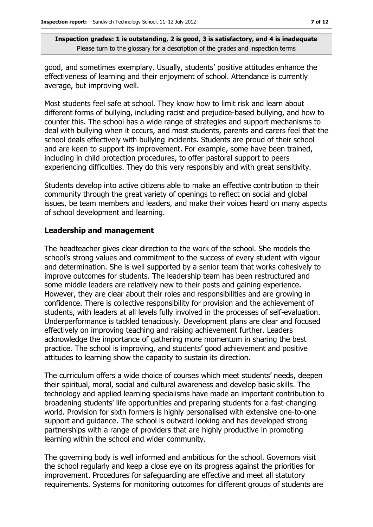good, and sometimes exemplary. Usually, students' positive attitudes enhance the effectiveness of learning and their enjoyment of school. Attendance is currently average, but improving well.

Most students feel safe at school. They know how to limit risk and learn about different forms of bullying, including racist and prejudice-based bullying, and how to counter this. The school has a wide range of strategies and support mechanisms to deal with bullying when it occurs, and most students, parents and carers feel that the school deals effectively with bullying incidents. Students are proud of their school and are keen to support its improvement. For example, some have been trained, including in child protection procedures, to offer pastoral support to peers experiencing difficulties. They do this very responsibly and with great sensitivity.

Students develop into active citizens able to make an effective contribution to their community through the great variety of openings to reflect on social and global issues, be team members and leaders, and make their voices heard on many aspects of school development and learning.

#### **Leadership and management**

The headteacher gives clear direction to the work of the school. She models the school's strong values and commitment to the success of every student with vigour and determination. She is well supported by a senior team that works cohesively to improve outcomes for students. The leadership team has been restructured and some middle leaders are relatively new to their posts and gaining experience. However, they are clear about their roles and responsibilities and are growing in confidence. There is collective responsibility for provision and the achievement of students, with leaders at all levels fully involved in the processes of self-evaluation. Underperformance is tackled tenaciously. Development plans are clear and focused effectively on improving teaching and raising achievement further. Leaders acknowledge the importance of gathering more momentum in sharing the best practice. The school is improving, and students' good achievement and positive attitudes to learning show the capacity to sustain its direction.

The curriculum offers a wide choice of courses which meet students' needs, deepen their spiritual, moral, social and cultural awareness and develop basic skills. The technology and applied learning specialisms have made an important contribution to broadening students' life opportunities and preparing students for a fast-changing world. Provision for sixth formers is highly personalised with extensive one-to-one support and guidance. The school is outward looking and has developed strong partnerships with a range of providers that are highly productive in promoting learning within the school and wider community.

The governing body is well informed and ambitious for the school. Governors visit the school regularly and keep a close eye on its progress against the priorities for improvement. Procedures for safeguarding are effective and meet all statutory requirements. Systems for monitoring outcomes for different groups of students are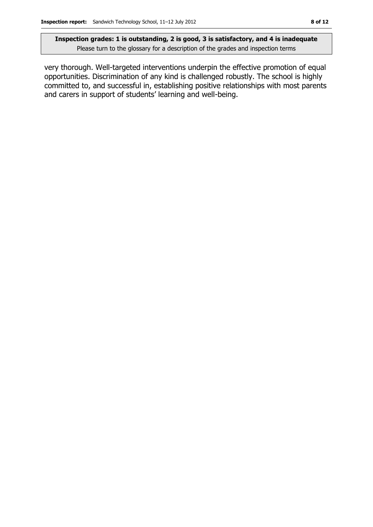very thorough. Well-targeted interventions underpin the effective promotion of equal opportunities. Discrimination of any kind is challenged robustly. The school is highly committed to, and successful in, establishing positive relationships with most parents and carers in support of students' learning and well-being.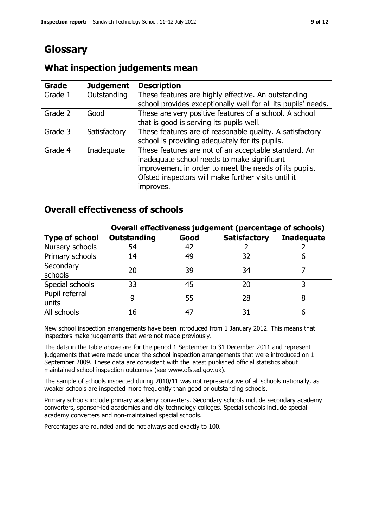# **Glossary**

#### **Grade Judgement Description** Grade  $1$  | Outstanding | These features are highly effective. An outstanding school provides exceptionally well for all its pupils' needs. Grade 2  $\Box$  Good These are very positive features of a school. A school that is good is serving its pupils well. Grade 3  $\parallel$  Satisfactory  $\parallel$  These features are of reasonable quality. A satisfactory school is providing adequately for its pupils. Grade 4 | Inadequate | These features are not of an acceptable standard. An inadequate school needs to make significant improvement in order to meet the needs of its pupils. Ofsted inspectors will make further visits until it improves.

# **What inspection judgements mean**

# **Overall effectiveness of schools**

|                         | Overall effectiveness judgement (percentage of schools) |      |                     |                   |
|-------------------------|---------------------------------------------------------|------|---------------------|-------------------|
| <b>Type of school</b>   | <b>Outstanding</b>                                      | Good | <b>Satisfactory</b> | <b>Inadequate</b> |
| Nursery schools         | 54                                                      | 42   |                     |                   |
| Primary schools         | 14                                                      | 49   | 32                  |                   |
| Secondary<br>schools    | 20                                                      | 39   | 34                  |                   |
| Special schools         | 33                                                      | 45   | 20                  |                   |
| Pupil referral<br>units | 9                                                       | 55   | 28                  |                   |
| All schools             | 16                                                      | 47   | 31                  |                   |

New school inspection arrangements have been introduced from 1 January 2012. This means that inspectors make judgements that were not made previously.

The data in the table above are for the period 1 September to 31 December 2011 and represent judgements that were made under the school inspection arrangements that were introduced on 1 September 2009. These data are consistent with the latest published official statistics about maintained school inspection outcomes (see www.ofsted.gov.uk).

The sample of schools inspected during 2010/11 was not representative of all schools nationally, as weaker schools are inspected more frequently than good or outstanding schools.

Primary schools include primary academy converters. Secondary schools include secondary academy converters, sponsor-led academies and city technology colleges. Special schools include special academy converters and non-maintained special schools.

Percentages are rounded and do not always add exactly to 100.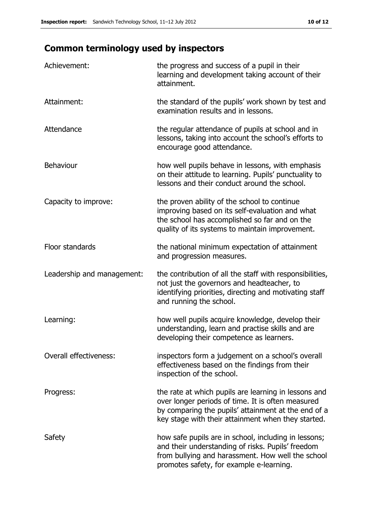# **Common terminology used by inspectors**

| Achievement:               | the progress and success of a pupil in their<br>learning and development taking account of their<br>attainment.                                                                                                        |
|----------------------------|------------------------------------------------------------------------------------------------------------------------------------------------------------------------------------------------------------------------|
| Attainment:                | the standard of the pupils' work shown by test and<br>examination results and in lessons.                                                                                                                              |
| Attendance                 | the regular attendance of pupils at school and in<br>lessons, taking into account the school's efforts to<br>encourage good attendance.                                                                                |
| <b>Behaviour</b>           | how well pupils behave in lessons, with emphasis<br>on their attitude to learning. Pupils' punctuality to<br>lessons and their conduct around the school.                                                              |
| Capacity to improve:       | the proven ability of the school to continue<br>improving based on its self-evaluation and what<br>the school has accomplished so far and on the<br>quality of its systems to maintain improvement.                    |
| Floor standards            | the national minimum expectation of attainment<br>and progression measures.                                                                                                                                            |
| Leadership and management: | the contribution of all the staff with responsibilities,<br>not just the governors and headteacher, to<br>identifying priorities, directing and motivating staff<br>and running the school.                            |
| Learning:                  | how well pupils acquire knowledge, develop their<br>understanding, learn and practise skills and are<br>developing their competence as learners.                                                                       |
| Overall effectiveness:     | inspectors form a judgement on a school's overall<br>effectiveness based on the findings from their<br>inspection of the school.                                                                                       |
| Progress:                  | the rate at which pupils are learning in lessons and<br>over longer periods of time. It is often measured<br>by comparing the pupils' attainment at the end of a<br>key stage with their attainment when they started. |
| Safety                     | how safe pupils are in school, including in lessons;<br>and their understanding of risks. Pupils' freedom<br>from bullying and harassment. How well the school<br>promotes safety, for example e-learning.             |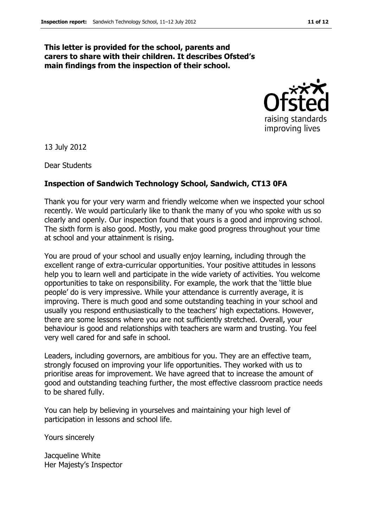#### **This letter is provided for the school, parents and carers to share with their children. It describes Ofsted's main findings from the inspection of their school.**



13 July 2012

Dear Students

#### **Inspection of Sandwich Technology School, Sandwich, CT13 0FA**

Thank you for your very warm and friendly welcome when we inspected your school recently. We would particularly like to thank the many of you who spoke with us so clearly and openly. Our inspection found that yours is a good and improving school. The sixth form is also good. Mostly, you make good progress throughout your time at school and your attainment is rising.

You are proud of your school and usually enjoy learning, including through the excellent range of extra-curricular opportunities. Your positive attitudes in lessons help you to learn well and participate in the wide variety of activities. You welcome opportunities to take on responsibility. For example, the work that the 'little blue people' do is very impressive. While your attendance is currently average, it is improving. There is much good and some outstanding teaching in your school and usually you respond enthusiastically to the teachers' high expectations. However, there are some lessons where you are not sufficiently stretched. Overall, your behaviour is good and relationships with teachers are warm and trusting. You feel very well cared for and safe in school.

Leaders, including governors, are ambitious for you. They are an effective team, strongly focused on improving your life opportunities. They worked with us to prioritise areas for improvement. We have agreed that to increase the amount of good and outstanding teaching further, the most effective classroom practice needs to be shared fully.

You can help by believing in yourselves and maintaining your high level of participation in lessons and school life.

Yours sincerely

Jacqueline White Her Majesty's Inspector